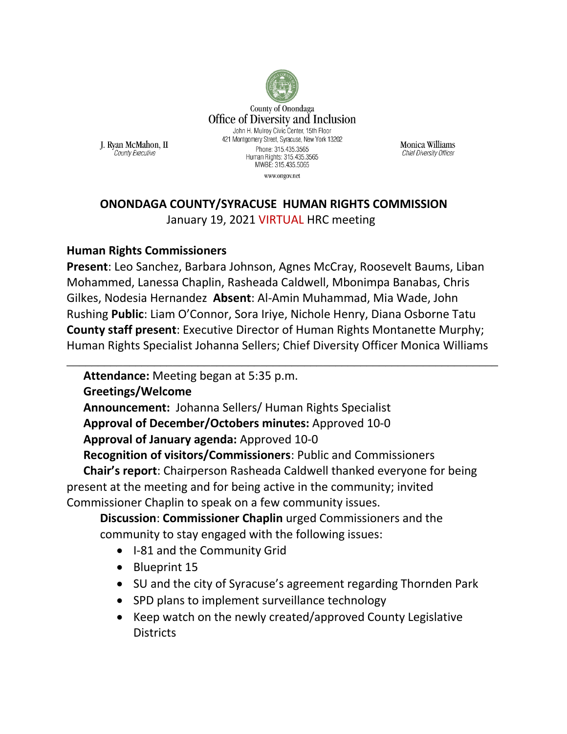

**Monica Williams Chief Diversity Officer** 

### **ONONDAGA COUNTY/SYRACUSE HUMAN RIGHTS COMMISSION**  January 19, 2021 VIRTUAL HRC meeting

#### **Human Rights Commissioners**

J. Ryan McMahon, II

County Executive

**Present**: Leo Sanchez, Barbara Johnson, Agnes McCray, Roosevelt Baums, Liban Mohammed, Lanessa Chaplin, Rasheada Caldwell, Mbonimpa Banabas, Chris Gilkes, Nodesia Hernandez **Absent**: Al-Amin Muhammad, Mia Wade, John Rushing **Public**: Liam O'Connor, Sora Iriye, Nichole Henry, Diana Osborne Tatu **County staff present**: Executive Director of Human Rights Montanette Murphy; Human Rights Specialist Johanna Sellers; Chief Diversity Officer Monica Williams

\_\_\_\_\_\_\_\_\_\_\_\_\_\_\_\_\_\_\_\_\_\_\_\_\_\_\_\_\_\_\_\_\_\_\_\_\_\_\_\_\_\_\_\_\_\_\_\_\_\_\_\_\_\_\_\_\_\_\_\_\_\_\_\_\_\_\_\_\_

**Attendance:** Meeting began at 5:35 p.m.

**Greetings/Welcome**

**Announcement:** Johanna Sellers/ Human Rights Specialist

**Approval of December/Octobers minutes:** Approved 10-0

**Approval of January agenda:** Approved 10-0

**Recognition of visitors/Commissioners**: Public and Commissioners

**Chair's report**: Chairperson Rasheada Caldwell thanked everyone for being present at the meeting and for being active in the community; invited Commissioner Chaplin to speak on a few community issues.

**Discussion**: **Commissioner Chaplin** urged Commissioners and the community to stay engaged with the following issues:

- I-81 and the Community Grid
- Blueprint 15
- SU and the city of Syracuse's agreement regarding Thornden Park
- SPD plans to implement surveillance technology
- Keep watch on the newly created/approved County Legislative **Districts**